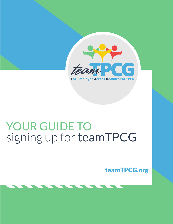

# YOUR GUIDE TO signing up for teamTPCG

teamTPCG.org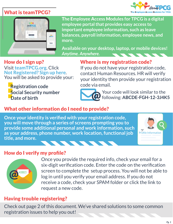# What is teamTPCG?





T**he** E**mployee** A**ccess** M**odules for TPCG is a digital employee portal that provides easy access to important employee information, such as leave balances, payroll information, employee news, and more.**

**Available on your desktop, laptop, or mobile devices!** *Anytime. Anywhere.*

How do I sign up? Visit **teamTPCG.org**. Click You will be asked to provide your:

**Date of birth Registration code Social Security number**

# If you do not have your registration code,

Where is my registration code?

contact Human Resources. HR will verify your identity then provide your registration code via email.



Your code will look similar to the<br>following: **ABCDE-FGH-12-3J4K5** 

## What other information do I need to provide?

**2** Once your identity is verified with your registration code, **you will move through a series of screens prompting you to provide some additional personal and work information, such as your address, phone number, work location, functional job title, and more.**  



#### How do I verify my profile?



Once you provide the required info, check your email for a six-digit verification code. Enter the code on the verification screen to complete the setup process. You will not be able to log in until you verify your email address. If you do not receive a code, check your SPAM folder or click the link to request a new code.

#### Having trouble registering?

Check out page 2 of this document. We've shared solutions to some common registration issues to help you out!